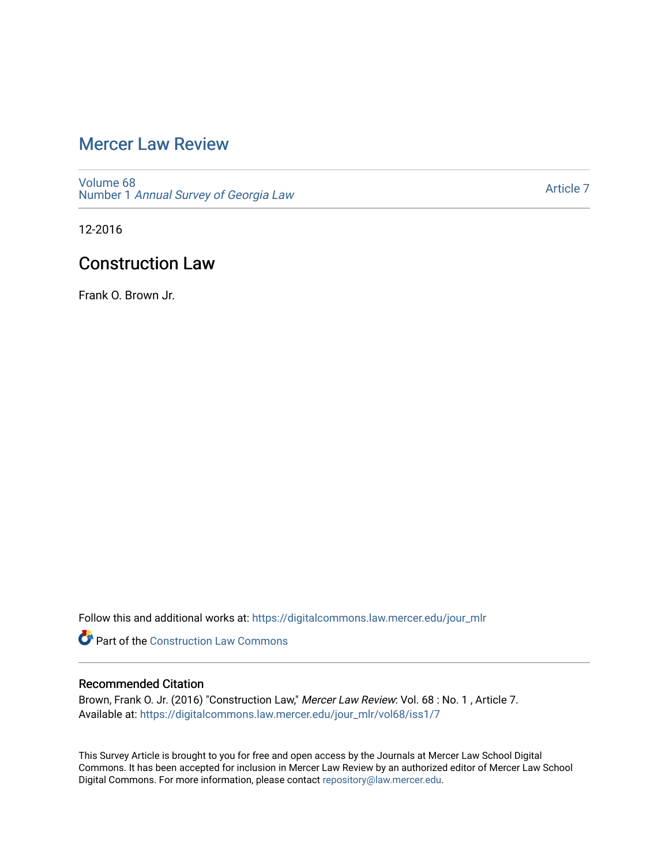# [Mercer Law Review](https://digitalcommons.law.mercer.edu/jour_mlr)

[Volume 68](https://digitalcommons.law.mercer.edu/jour_mlr/vol68) Number 1 [Annual Survey of Georgia Law](https://digitalcommons.law.mercer.edu/jour_mlr/vol68/iss1) 

[Article 7](https://digitalcommons.law.mercer.edu/jour_mlr/vol68/iss1/7) 

12-2016

# Construction Law

Frank O. Brown Jr.

Follow this and additional works at: [https://digitalcommons.law.mercer.edu/jour\\_mlr](https://digitalcommons.law.mercer.edu/jour_mlr?utm_source=digitalcommons.law.mercer.edu%2Fjour_mlr%2Fvol68%2Fiss1%2F7&utm_medium=PDF&utm_campaign=PDFCoverPages)

**Part of the Construction Law Commons** 

# Recommended Citation

Brown, Frank O. Jr. (2016) "Construction Law," Mercer Law Review: Vol. 68 : No. 1, Article 7. Available at: [https://digitalcommons.law.mercer.edu/jour\\_mlr/vol68/iss1/7](https://digitalcommons.law.mercer.edu/jour_mlr/vol68/iss1/7?utm_source=digitalcommons.law.mercer.edu%2Fjour_mlr%2Fvol68%2Fiss1%2F7&utm_medium=PDF&utm_campaign=PDFCoverPages)

This Survey Article is brought to you for free and open access by the Journals at Mercer Law School Digital Commons. It has been accepted for inclusion in Mercer Law Review by an authorized editor of Mercer Law School Digital Commons. For more information, please contact [repository@law.mercer.edu](mailto:repository@law.mercer.edu).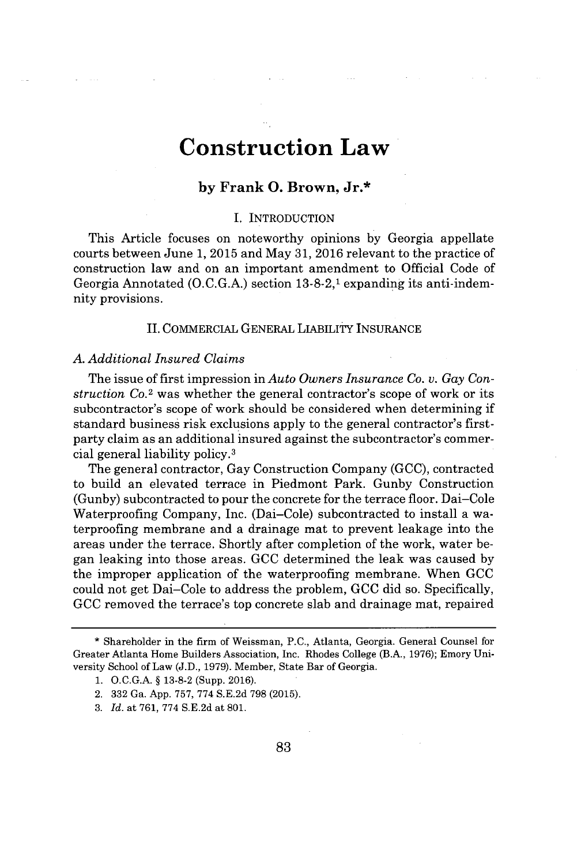# **Construction Law**

# **by Frank 0. Brown, Jr.\***

### **I.** INTRODUCTION

This Article focuses on noteworthy opinions **by** Georgia appellate courts between June **1, 2015** and May **31, 2016** relevant to the practice of construction law and on an important amendment to Official Code of Georgia Annotated **(O.C.G.A.)** section **13-8-2,1** expanding its anti-indemnity provisions.

#### **II.** COMMERCIAL **GENERAL** LIABILITY **INSURANCE**

#### *A. Additional Insured Claims*

The issue of first impression in *Auto Owners Insurance Co. v. Gay Construction Co.*<sup>2</sup> was whether the general contractor's scope of work or its subcontractor's scope of work should be considered when determining if standard business risk exclusions apply to the general contractor's firstparty claim as an additional insured against the subcontractor's commercial general liability **policy. <sup>3</sup>**

The general contractor, Gay Construction Company **(GCC),** contracted to build an elevated terrace in Piedmont Park. Gunby Construction (Gunby) subcontracted to pour the concrete for the terrace floor. Dai-Cole Waterproofing Company, Inc. (Dai-Cole) subcontracted to install a waterproofing membrane and a drainage mat to prevent leakage into the areas under the terrace. Shortly after completion of the work, water began leaking into those areas. **GCC** determined the leak was caused **by** the improper application of the waterproofing membrane. When **GCC** could not get Dai-Cole to address the problem, **GCC** did so. Specifically, **GCC** removed the terrace's top concrete slab and drainage mat, repaired

<sup>\*</sup> Shareholder in the firm of Weissman, **P.C.,** Atlanta, Georgia. General Counsel for Greater Atlanta Home Builders Association, Inc. Rhodes College (B.A., **1976);** Emory University School of Law **(J.D., 1979).** Member, State Bar of Georgia.

**<sup>1.</sup> O.C.G.A. § 13-8-2** (Supp. **2016).**

<sup>2.</sup> **332** Ga. **App. 757, 774 S.E.2d 798 (2015).**

*<sup>3.</sup> Id.* at **761, 774 S.E.2d** at **801.**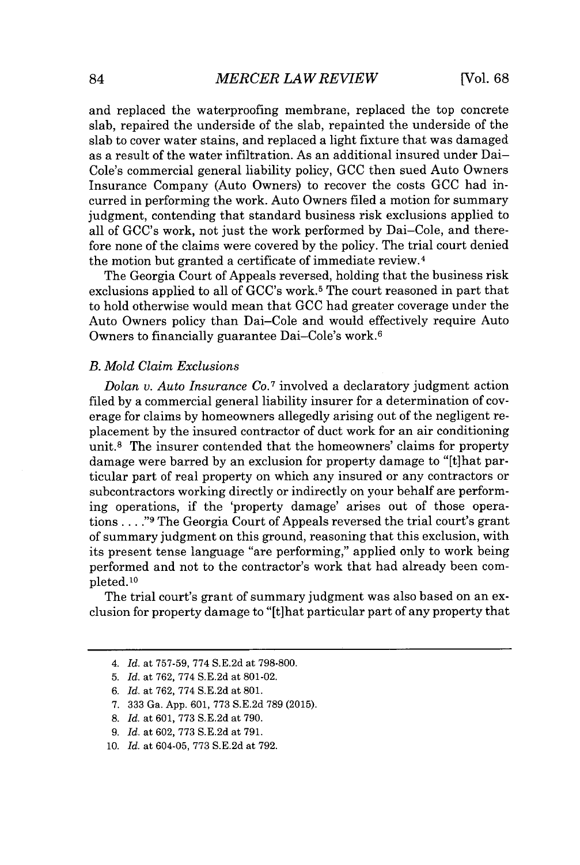and replaced the waterproofing membrane, replaced the top concrete slab, repaired the underside of the slab, repainted the underside of the slab to cover water stains, and replaced a light fixture that was damaged as a result of the water infiltration. As an additional insured under Dai-Cole's commercial general liability policy, **GCC** then sued Auto Owners Insurance Company (Auto Owners) to recover the costs **GCC** had incurred in performing the work. Auto Owners filed a motion for summary judgment, contending that standard business risk exclusions applied to all of GCC's work, not just the work performed **by** Dai-Cole, and therefore none of the claims were covered **by** the policy. The trial court denied the motion but granted a certificate of immediate review. <sup>4</sup>

The Georgia Court of Appeals reversed, holding that the business risk exclusions applied to all of GCC's work.<sup>5</sup> The court reasoned in part that to hold otherwise would mean that **GCC** had greater coverage under the Auto Owners policy than Dai-Cole and would effectively require Auto Owners to financially guarantee Dai-Cole's work.<sup>6</sup>

# *B. Mold Claim Exclusions*

*Dolan v. Auto Insurance Co.7* involved a declaratory judgment action filed **by** a commercial general liability insurer for a determination of coverage for claims **by** homeowners allegedly arising out of the negligent replacement **by** the insured contractor of duct work for an air conditioning unit.<sup>8</sup> The insurer contended that the homeowners' claims for property damage were barred **by** an exclusion for property damage to "[t]hat particular part of real property on which any insured or any contractors or subcontractors working directly or indirectly on your behalf are performing operations, if the 'property damage' arises out of those operations **. . . ."@** The Georgia Court of Appeals reversed the trial court's grant of summary judgment on this ground, reasoning that this exclusion, with its present tense language "are performing," applied only to work being performed and not to the contractor's work that had already been completed.<sup>10</sup>

The trial court's grant of summary judgment was also based on an exclusion for property damage to "[t]hat particular part of any property that

*<sup>4.</sup> Id.* at **757-59, 774 S.E.2d** at **798-800.**

**<sup>5.</sup>** *Id.* at **762, 774 S.E.2d** at **801-02.**

*<sup>6.</sup> Id.* at **762, 774 S.E.2d** at **801.**

**<sup>7. 333</sup>** *Ga.* **App. 601, 773 S.E.2d 789 (2015).**

**<sup>8.</sup>** *Id.* at **601, 773 S.E.2d** *at* **790.**

**<sup>9.</sup>** *Id. at* **602, 773 S.E.2d** *at* **791.**

**<sup>10.</sup>** *Id. at* 604-05, **773 S.E.2d** *at* **792.**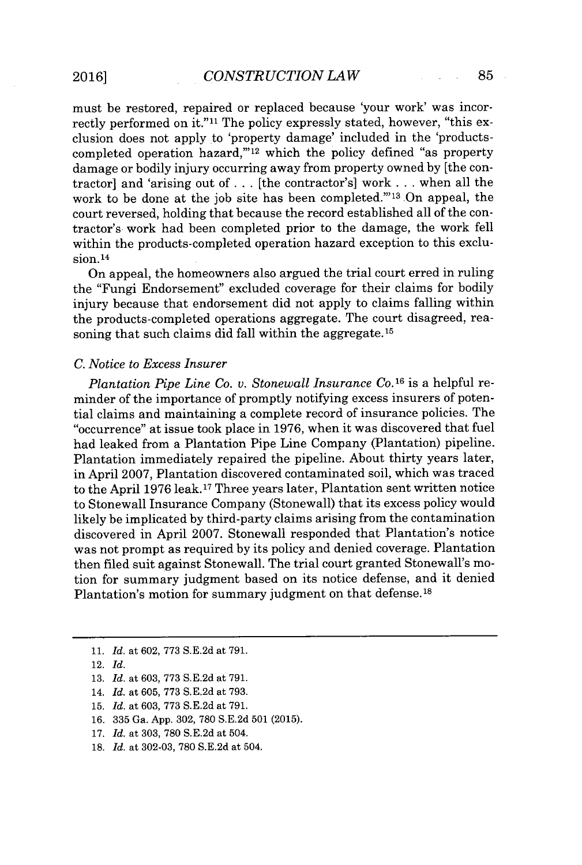must be restored, repaired or replaced because 'your work' was incorrectly performed on **it."11** The policy expressly stated, however, "this exclusion does not apply to 'property damage' included in the 'productscompleted operation hazard," $^{12}$  which the policy defined "as property damage or bodily injury occurring away from property owned **by** [the contractor] and 'arising out of **.** . **.** [the contractor's] work **.** . **.** when all the work to be done at the *job* site has been completed."<sup>13</sup> On appeal, the court reversed, holding that because the record established all of the contractor's work had been completed prior to the damage, the work fell within the products-completed operation hazard exception to this exclusion. <sup>14</sup>

On appeal, the homeowners also argued the trial court erred in ruling the "Fungi Endorsement" excluded coverage for their claims for bodily injury because that endorsement did not apply to claims falling within the products-completed operations aggregate. The court disagreed, reasoning that such claims did fall within the aggregate.<sup>15</sup>

#### *C. Notice to Excess Insurer*

*Plantation Pipe Line Co. v. Stonewall Insurance Co.16* is a helpful reminder of the importance of promptly notifying excess insurers of potential claims and maintaining a complete record of insurance policies. The "occurrence" at issue took place in **1976,** when it was discovered that fuel had leaked from a Plantation Pipe Line Company (Plantation) pipeline. Plantation immediately repaired the pipeline. About thirty years later, in April **2007,** Plantation discovered contaminated soil, which was traced to the April **1976** leak.<sup>17</sup>Three years later, Plantation sent written notice to Stonewall Insurance Company (Stonewall) that its excess policy would likely be implicated **by** third-party claims arising from the contamination discovered in April **2007.** Stonewall responded that Plantation's notice was not prompt as required **by** its policy and denied coverage. Plantation then filed suit against Stonewall. The trial court granted Stonewall's motion for summary judgment based on its notice defense, and it denied Plantation's motion for summary judgment on that defense. **<sup>18</sup>**

- **11.** *Id.* at **602, 773 S.E.2d** at **791.**
- 12. *Id.*
- **13.** *Id.* at **603, 773 S.E.2d** at **791.**
- 14. *Id.* at **605, 773 S.E.2d** at **793.**
- **15.** *Id.* at **603, 773 S.E.2d** at **791.**
- **16. 335** Ga. **App. 302, 780 S.E.2d 501 (2015).**
- **17.** *Id.* at **303, 780 S.E.2d** at 504.
- **18.** *Id.* at **302-03, 780 S.E.2d** at 504.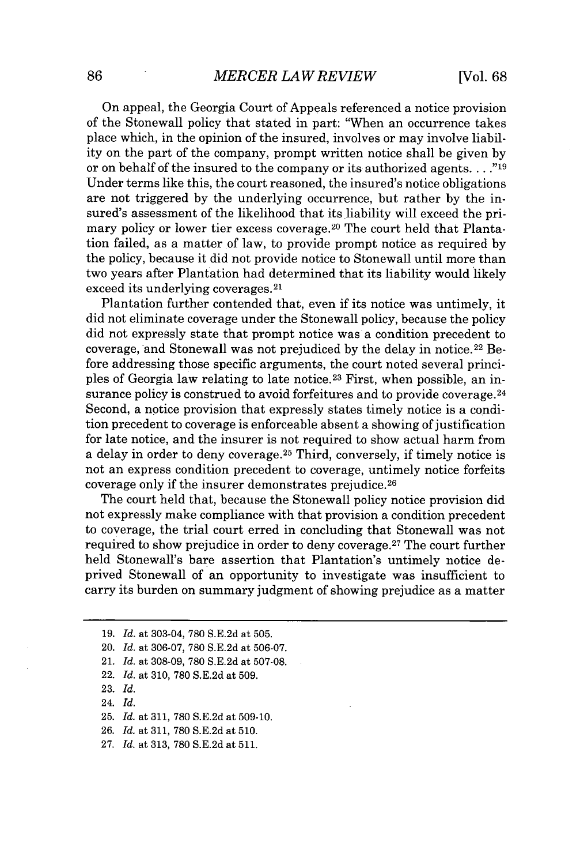On appeal, the Georgia Court of Appeals referenced a notice provision of the Stonewall policy that stated in part: "When an occurrence takes place which, in the opinion of the insured, involves or may involve liability on the part of the company, prompt written notice shall be given **by** or on behalf of the insured to the company or its authorized agents. **. . ."19** Under terms like this, the court reasoned, the insured's notice obligations are not triggered **by** the underlying occurrence, but rather **by** the insured's assessment of the likelihood that its liability will exceed the primary policy or lower tier excess coverage.<sup>20</sup> The court held that Plantation failed, as a matter of law, to provide prompt notice as required by the policy, because it did not provide notice to Stonewall until more than two years after Plantation had determined that its liability would likely exceed its underlying coverages. <sup>21</sup>

Plantation further contended that, even if its notice was untimely, it did not eliminate coverage under the Stonewall policy, because the policy did not expressly state that prompt notice was a condition precedent to coverage, and Stonewall was not prejudiced **by** the delay in notice. <sup>22</sup>Before addressing those specific arguments, the court noted several principles of Georgia law relating to late notice.<sup>23</sup> First, when possible, an insurance policy is construed to avoid forfeitures and to provide coverage.<sup>24</sup> Second, a notice provision that expressly states timely notice is a condition precedent to coverage is enforceable absent a showing of justification for late notice, and the insurer is not required to show actual harm from a delay in order to deny coverage.<sup>25</sup> Third, conversely, if timely notice is not an express condition precedent to coverage, untimely notice forfeits coverage only if the insurer demonstrates prejudice. <sup>26</sup>

The court held that, because the Stonewall policy notice provision did not expressly make compliance with that provision a condition precedent to coverage, the trial court erred in concluding that Stonewall was not required to show prejudice in order to deny coverage.<sup>27</sup> The court further held Stonewall's bare assertion that Plantation's untimely notice deprived Stonewall of an opportunity to investigate was insufficient to carry its burden on summary judgment of showing prejudice as a matter

- 22. *Id.* at **310, 780 S.E.2d** at **509.**
- **23.** *Id.*
- 24. *Id.*
- **25.** *Id.* at **311, 780 S.E.2d** at **509-10.**
- **26.** *Id.* at **311, 780 S.E.2d** at **510.**
- **27.** *Id.* at **313, 780 S.E.2d** at **511.**

**<sup>19.</sup>** *Id.* at 303-04, **780 S.E.2d** at **505.**

<sup>20.</sup> *Id.* at **306-07, 780 S.E.2d** at **506-07.**

<sup>21.</sup> *Id.* at **308-09, 780 S.E.2d** at **507-08.**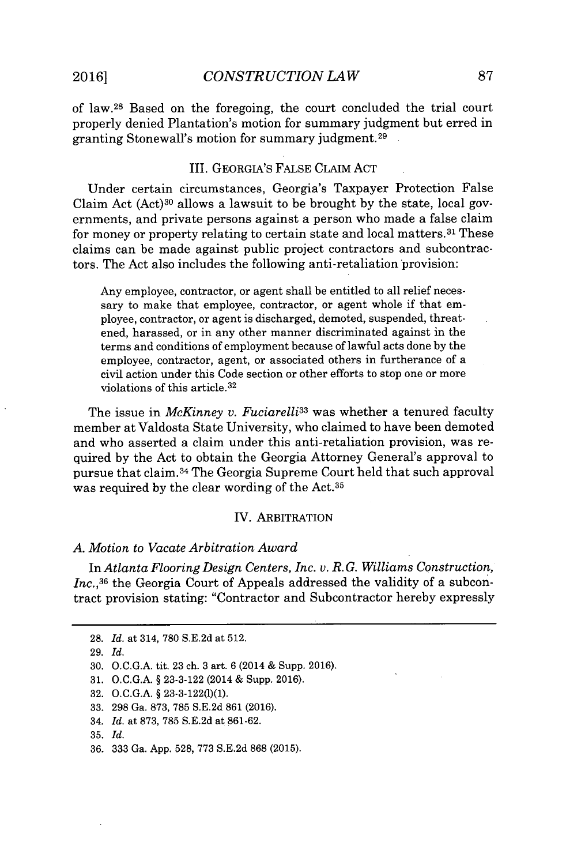of law. <sup>2</sup> 8 Based on the foregoing, the court concluded the trial court properly denied Plantation's motion for summary judgment but erred in granting Stonewall's motion for summary judgment. <sup>29</sup>

#### III. GEORGIA'S **FALSE** CLAIM **ACT**

Under certain circumstances, Georgia's Taxpayer Protection False Claim Act (Act)<sup>30</sup>allows a lawsuit to be brought **by** the state, local governments, and private persons against a person who made a false claim for money or property relating to certain state and local matters.<sup>31</sup> These claims can be made against public project contractors and subcontractors. The Act also includes the following anti-retaliation provision:

Any employee, contractor, or agent shall be entitled to all relief necessary to make that employee, contractor, or agent whole if that employee, contractor, or agent is discharged, demoted, suspended, threatened, harassed, or in any other manner discriminated against in the terms and conditions of employment because of lawful acts done **by** the employee, contractor, agent, or associated others in furtherance of a civil action under this Code section or other efforts to stop one or more violations of this article. <sup>32</sup>

The issue in *McKinney v. Fuciarelli<sup>33</sup>*was whether a tenured faculty member at Valdosta State University, who claimed to have been demoted and who asserted a claim under this anti-retaliation provision, was required **by** the Act to obtain the Georgia Attorney General's approval to pursue that claim. <sup>34</sup>The Georgia Supreme Court held that such approval was required **by** the clear wording of the Act. <sup>35</sup>

#### IV. ARBITRATION

### *A. Motion to Vacate Arbitration Award*

In *Atlanta Flooring Design Centers, Inc. v. R. G. Williams Construction,* Inc.,<sup>36</sup> the Georgia Court of Appeals addressed the validity of a subcontract provision stating: "Contractor and Subcontractor hereby expressly

**<sup>28.</sup>** *Id.* at 314, **780 S.E.2d** at **512.**

**<sup>29.</sup>** *Id.*

**<sup>30.</sup> O.C.G.A.** tit. **23** ch. **3** art. **6** (2014 **&** Supp. **2016).**

**<sup>31.</sup> O.C.G.A.** *§* **23-3-122** (2014 **&** Supp. **2016).**

**<sup>32.</sup> O.C.G.A.** *§* **23-3-122(1)(1).**

**<sup>33. 298</sup>** Ga. **873, 785 S.E.2d 861 (2016).**

<sup>34.</sup> *Id.* at **873, 785 S.E.2d** at **861-62.**

**<sup>35.</sup>** *Id.*

**<sup>36. 333</sup>** Ga. **App. 528, 773 S.E.2d 868 (2015).**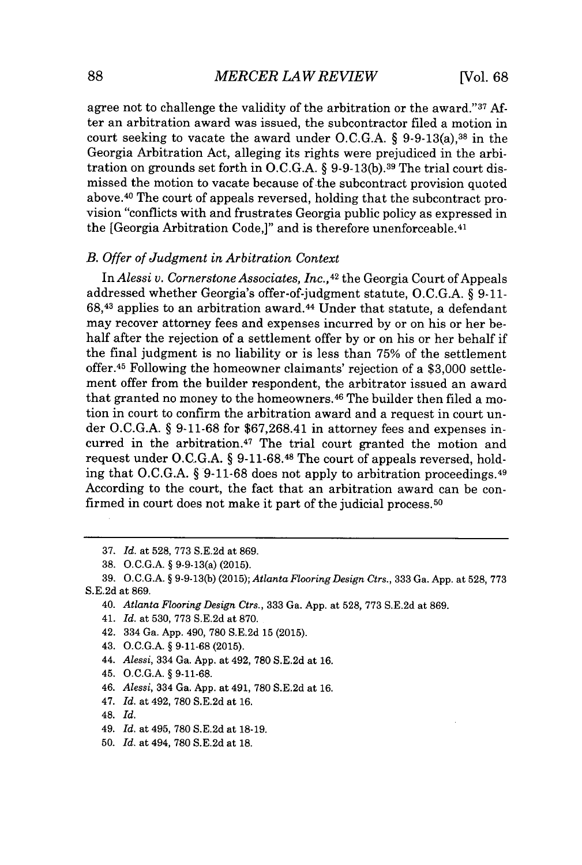agree not to challenge the validity of the arbitration or the award."<sup>37</sup> After an arbitration award was issued, the subcontractor filed a motion in court seeking to vacate the award under **O.C.G.A. §** 9-9-13(a),<sup>38</sup>in the Georgia Arbitration Act, alleging its rights were prejudiced in the arbitration on grounds set forth in **O.C.G.A. § 9-9-13(b).39** The trial court dismissed the motion to vacate because of the subcontract provision quoted above. <sup>40</sup>The court of appeals reversed, holding that the subcontract provision "conflicts with and frustrates Georgia public policy as expressed in the [Georgia Arbitration Code,]" and is therefore unenforceable.<sup>41</sup>

#### *B. Offer of Judgment in Arbitration Context*

*InAlessi v. Cornerstone Associates, Inc., <sup>42</sup>*the Georgia Court of Appeals addressed whether Georgia's offer-of-judgment statute, **O.C.G.A. § 9-11- 68,43** applies to an arbitration award. <sup>44</sup>Under that statute, a defendant may recover attorney fees and expenses incurred **by** or on his or her behalf after the rejection of a settlement offer **by** or on his or her behalf if the final judgment is no liability or is less than **75%** of the settlement offer.<sup>45</sup> Following the homeowner claimants' rejection of a \$3,000 settlement offer from the builder respondent, the arbitrator issued an award that granted no money to the homeowners.<sup>46</sup> The builder then filed a motion in court to confirm the arbitration award and a request in court under **O.C.G.A. § 9-11-68** for **\$67,268.41** in attorney fees and expenses incurred in the arbitration. $47$  The trial court granted the motion and request under **O.C.G.A. § 9-11-68.48** The court of appeals reversed, holding that **O.C.G.A. § 9-11-68** does not apply to arbitration proceedings. <sup>49</sup> According to the court, the fact that an arbitration award can be confirmed in court does not make it part of the judicial process.<sup>50</sup>

- 47. *Id.* at 492, **780 S.E.2d** at **16.**
- 48. *Id.*
- 49. *Id.* at 495, **780 S.E.2d** at **18-19.**
- **50.** *Id.* at 494, **780 S.E.2d** at **18.**

**<sup>37.</sup>** *Id.* at **528, 773 S.E.2d** at **869.**

**<sup>38.</sup> O.C.G.A. §** 9-9-13(a) **(2015).**

**<sup>39.</sup> O.C.G.A. § 9-9-13(b) (2015);** *Atlanta Flooring Design Ctrs.,* **333** Ga. **App.** at **528, 773 S.E.2d** at **869.**

<sup>40.</sup> *Atlanta Flooring Design Ctrs.,* **333** Ga. **App.** at **528, 773 S.E.2d** at **869.**

<sup>41.</sup> *Id.* at **530, 773 S.E.2d** at **870.**

<sup>42. 334</sup> Ga. **App.** 490, **780 S.E.2d 15 (2015).**

<sup>43.</sup> **O.C.G.A. § 9-11-68 (2015).**

<sup>44.</sup> *Alessi,* 334 Ga. **App.** at 492, **780 S.E.2d** at **16.**

<sup>45.</sup> **O.C.G.A. § 9-11-68.**

<sup>46.</sup> *Alessi,* 334 Ga. **App.** at 491, **780 S.E.2d** at **16.**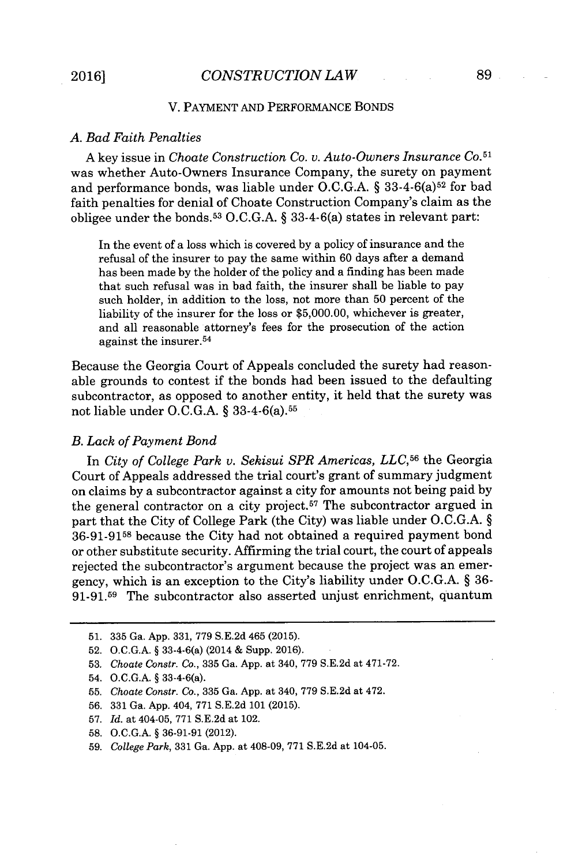### V. PAYMENT **AND** PERFORMANCE **BONDS**

#### *A. Bad Faith Penalties*

**A** key issue in *Choate Construction Co. v. Auto-Owners Insurance Co. 5 1* was whether Auto-Owners Insurance Company, the surety on payment and performance bonds, was liable under O.C.G.A. § 33-4-6(a)<sup>52</sup> for bad faith penalties for denial of Choate Construction Company's claim as the obligee under the bonds.<sup>5</sup> <sup>3</sup>**O.C.G.A. §** 33-4-6(a) states in relevant part:

In the event of a loss which is covered **by** a policy of insurance and the refusal of the insurer to pay the same within **60** days after a demand has been made **by** the holder of the policy and a finding has been made that such refusal was in bad faith, the insurer shall be liable to pay such holder, in addition to the loss, not more than **50** percent of the liability of the insurer for the loss or **\$5,000.00,** whichever is greater, and all reasonable attorney's fees for the prosecution of the action against the insurer.<sup>54</sup>

Because the Georgia Court of Appeals concluded the surety had reasonable grounds to contest if the bonds had been issued to the defaulting subcontractor, as opposed to another entity, it held that the surety was not liable under **O.C.G.A. §** 33-4-6(a).<sup>5</sup> 6

#### *B. Lack of Payment Bond*

In *City of College Park v. Sekisui SPR Americas, LLC,5<sup>6</sup>*the Georgia Court of Appeals addressed the trial court's grant of summary judgment on claims **by** a subcontractor against a city for amounts not being paid **by** the general contractor on a city project.<sup>57</sup> The subcontractor argued in part that the City of College Park (the City) was liable under **O.C.G.A. § 36-91-9158** because the City had not obtained a required payment bond or other substitute security. Affirming the trial court, the court of appeals rejected the subcontractor's argument because the project was an emergency, which is an exception to the City's liability under **O.C.G.A. § 36- 91-91.59** The subcontractor also asserted unjust enrichment, quantum

- **56. 331** Ga. **App.** 404, **771 S.E.2d 101 (2015).**
- **57.** *Id.* at 404-05, **771 S.E.2d** at 102.
- **58. O.C.G.A.** *§* **36-91-91** (2012).
- **59.** *College Park,* **331** Ga. **App.** at 408-09, **771 S.E.2d** at 104-05.

**<sup>51. 335</sup>** Ga. **App. 331, 779 S.E.2d** 465 **(2015).**

**<sup>52.</sup> O.C.G.A.** *§* 33-4-6(a) (2014 **&** Supp. **2016).**

**<sup>53.</sup>** *Choate Constr. Co.,* **335** Ga. **App.** at 340, **779 S.E.2d** at **471-72.**

<sup>54.</sup> **O.C.G.A.** *§* 33-4-6(a).

**<sup>55.</sup>** *Choate Constr. Co.,* **335** Ga. **App.** at 340, **779 S.E.2d** at 472.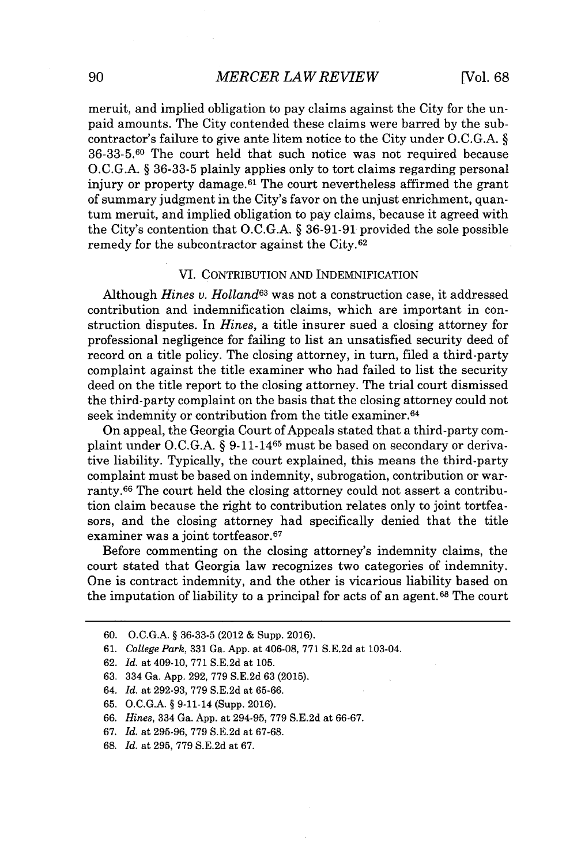# **90** *MERCER LAW REVIEW* [Vol. **68**

meruit, and implied obligation to pay claims against the City for the unpaid amounts. The City contended these claims were barred **by** the subcontractor's failure to give ante litem notice to the City under **O.C.G.A.** *§* **36-33-5.60** The court held that such notice was not required because **O.C.G.A.** *§* **36-33-5** plainly applies only to tort claims regarding personal injury or property damage.<sup>61</sup> The court nevertheless affirmed the grant of summary judgment in the City's favor on the unjust enrichment, quantum meruit, and implied obligation to pay claims, because it agreed with the City's contention that **O.C.G.A.** *§* **36-91-91** provided the sole possible remedy for the subcontractor against the City.<sup>62</sup>

### *VI.* CONTRIBUTION **AND** INDEMNIFICATION

Although *Hines v. Holland<sup>63</sup>*was not a construction case, it addressed contribution and indemnification claims, which are important in construction disputes. In *Hines,* a title insurer sued a closing attorney for professional negligence for failing to list an unsatisfied security deed of record on a title policy. The closing attorney, in turn, filed a third-party complaint against the title examiner who had failed to list the security deed on the title report to the closing attorney. The trial court dismissed the third-party complaint on the basis that the closing attorney could not seek indemnity or contribution from the title examiner.<sup>64</sup>

On appeal, the Georgia Court of Appeals stated that a third-party complaint under **O.C.G.A. §** 9-11-1465 must be based on secondary or derivative liability. Typically, the court explained, this means the third-party complaint must be based on indemnity, subrogation, contribution or warranty.<sup>66</sup> The court held the closing attorney could not assert a contribution claim because the right to contribution relates only to joint tortfeasors, and the closing attorney had specifically denied that the title examiner was a joint tortfeasor.<sup>67</sup>

Before commenting on the closing attorney's indemnity claims, the court stated that Georgia law recognizes two categories of indemnity. One is contract indemnity, and the other is vicarious liability based on the imputation of liability to a principal for acts of an agent. 68 The court

- **62.** *Id.* at 409-10, **771 S.E.2d** at **105.**
- **63.** 334 Ga. **App. 292, 779 S.E.2d 63 (2015).**
- 64. *Id.* at **292-93, 779 S.E.2d** at **65-66.**
- **65. O.C.G.A.** *§* 9-11-14 (Supp. **2016).**
- **66.** *Hines,* 334 Ga. **App.** at 294-95, **779 S.E.2d** at **66-67.**
- **67.** *Id.* at **295-96, 779 S.E.2d** at **67-68.**
- **68.** *Id.* at **295, 779 S.E.2d** at **67.**

**<sup>60.</sup> O.C.G.A.** *§* **36-33-5** (2012 **&** Supp. **2016).**

**<sup>61.</sup>** *College Park,* **331** Ga. **App.** at 406-08, **771 S.E.2d** at 103-04.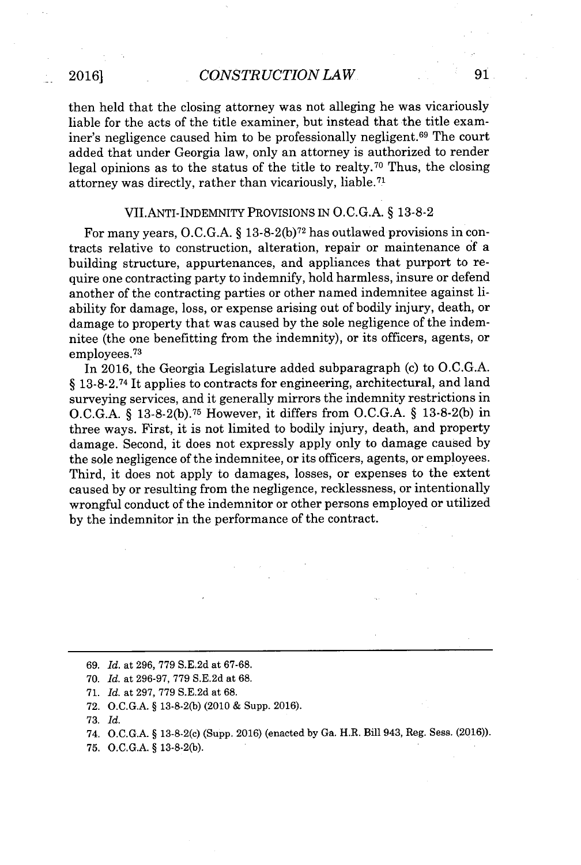then held that the closing attorney was not alleging he was vicariously liable for the acts of the title examiner, but instead that the title examiner's negligence caused him to be professionally negligent.<sup>69</sup> The court added that under Georgia law, only an attorney is authorized to render legal opinions as to the status of the title to realty.70 Thus, the closing attorney was directly, rather than vicariously, liable.<sup>71</sup>

#### VII.ANTI-INDEMNITY PROVISIONS IN **O.C.G.A.** *§* **13-8-2**

For many years, **O.C.G.A.** *§* **13-8-2(b) <sup>72</sup>**has outlawed provisions in contracts relative to construction, alteration, repair or maintenance of a building structure, appurtenances, and appliances that purport to require one contracting party to indemnify, hold harmless, insure or defend another of the contracting parties or other named indemnitee against liability for damage, loss, or expense arising out of bodily injury, death, or damage to property that was caused **by** the sole negligence of the indemnitee (the one benefitting from the indemnity), or its officers, agents, or employees. <sup>73</sup>

In **2016,** the Georgia Legislature added subparagraph (c) to **O.C.G.A.** *§* **13-8-2.74** It applies to contracts for engineering, architectural, and land surveying services, and it generally mirrors the indemnity restrictions in **O.C.G.A.** *§* **13-8-2(b). <sup>7</sup> <sup>5</sup>**However, it differs from **O.C.G.A.** *§* **13-8-2(b)** in three ways. First, it is not limited to bodily injury, death, and property damage. Second, it does not expressly apply only to damage caused **by** the sole negligence of the indemnitee, or its officers, agents, or employees. Third, it does not apply to damages, losses, or expenses to the extent caused **by** or resulting from the negligence, recklessness, or intentionally wrongful conduct of the indemnitor or other persons employed or utilized **by** the indemnitor in the performance of the contract.

**71.** *Id.* at **297, 779 S.E.2d** at **68.**

**75. O.C.G.A. § 13-8-2(b).**

*<sup>69.</sup> Id.* at **296, 779 S.E.2d** at **67-68.**

**<sup>70.</sup>** *Id.* at **296-97, 779 S.E.2d** at **68.**

**<sup>72.</sup> O.C.G.A. § 13-8-2(b)** (2010 **&** Supp. **2016).**

**<sup>73.</sup>** *Id.*

<sup>74.</sup> **O.C.G.A. §** 13-8-2(c) (Supp. **2016)** (enacted **by** Ga. H.R. Bill 943, Reg. Sess. **(2016)).**